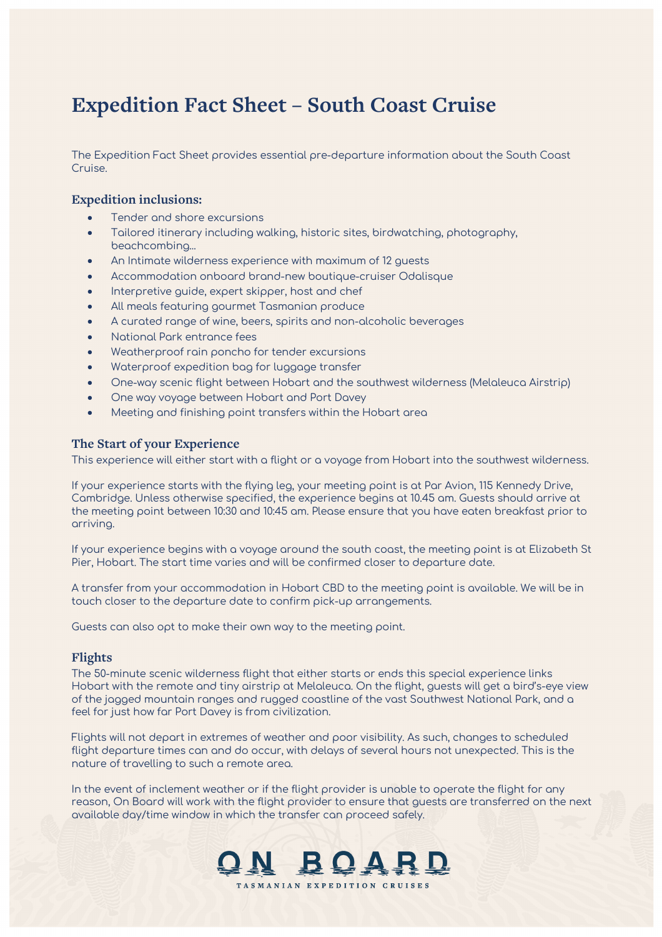# **Expedition Fact Sheet – South Coast Cruise**

The Expedition Fact Sheet provides essential pre-departure information about the South Coast Cruise.

# **Expedition inclusions:**

- Tender and shore excursions
- Tailored itinerary including walking, historic sites, birdwatching, photography, beachcombing...
- An Intimate wilderness experience with maximum of 12 guests
- Accommodation onboard brand-new boutique-cruiser Odalisque
- Interpretive guide, expert skipper, host and chef
- All meals featuring gourmet Tasmanian produce
- A curated range of wine, beers, spirits and non-alcoholic beverages
- National Park entrance fees
- Weatherproof rain poncho for tender excursions
- Waterproof expedition bag for luggage transfer
- One-way scenic flight between Hobart and the southwest wilderness (Melaleuca Airstrip)
- One way voyage between Hobart and Port Davey
- Meeting and finishing point transfers within the Hobart area

# **The Start of your Experience**

This experience will either start with a flight or a voyage from Hobart into the southwest wilderness.

If your experience starts with the flying leg, your meeting point is at Par Avion, 115 Kennedy Drive, Cambridge. Unless otherwise specified, the experience begins at 10.45 am. Guests should arrive at the meeting point between 10:30 and 10:45 am. Please ensure that you have eaten breakfast prior to arriving.

If your experience begins with a voyage around the south coast, the meeting point is at Elizabeth St Pier, Hobart. The start time varies and will be confirmed closer to departure date.

A transfer from your accommodation in Hobart CBD to the meeting point is available. We will be in touch closer to the departure date to confirm pick-up arrangements.

Guests can also opt to make their own way to the meeting point.

#### **Flights**

The 50-minute scenic wilderness flight that either starts or ends this special experience links Hobart with the remote and tiny airstrip at Melaleuca. On the flight, guests will get a bird's-eye view of the jagged mountain ranges and rugged coastline of the vast Southwest National Park, and a feel for just how far Port Davey is from civilization.

Flights will not depart in extremes of weather and poor visibility. As such, changes to scheduled flight departure times can and do occur, with delays of several hours not unexpected. This is the nature of travelling to such a remote area.

In the event of inclement weather or if the flight provider is unable to operate the flight for any reason, On Board will work with the flight provider to ensure that guests are transferred on the next available day/time window in which the transfer can proceed safely.

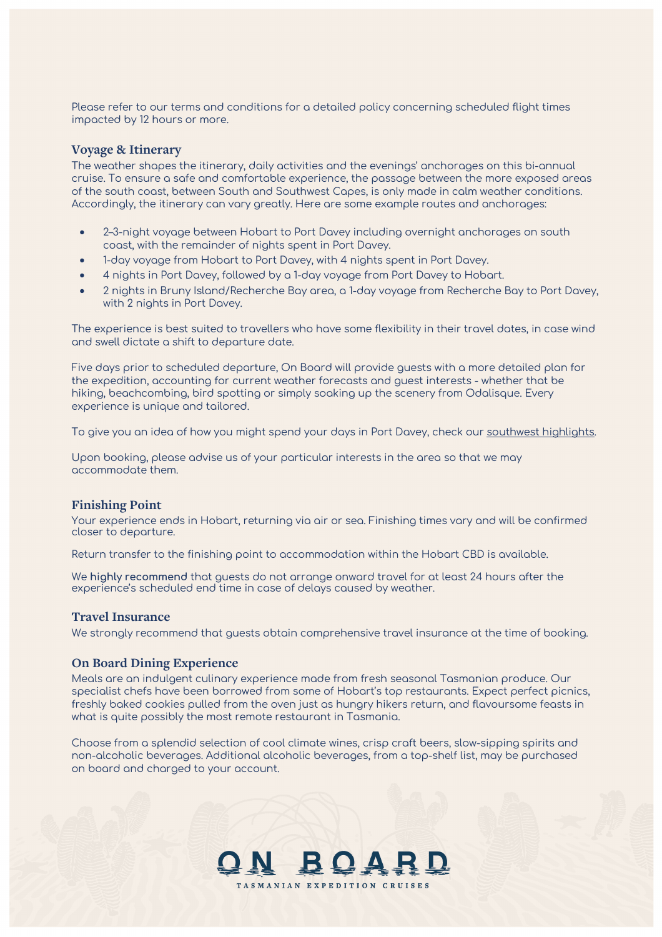Please refer to our terms and conditions for a detailed policy concerning scheduled flight times impacted by 12 hours or more.

#### **Voyage & Itinerary**

The weather shapes the itinerary, daily activities and the evenings' anchorages on this bi-annual cruise. To ensure a safe and comfortable experience, the passage between the more exposed areas of the south coast, between South and Southwest Capes, is only made in calm weather conditions. Accordingly, the itinerary can vary greatly. Here are some example routes and anchorages:

- 2–3-night voyage between Hobart to Port Davey including overnight anchorages on south coast, with the remainder of nights spent in Port Davey.
- 1-day voyage from Hobart to Port Davey, with 4 nights spent in Port Davey.
- 4 nights in Port Davey, followed by a 1-day voyage from Port Davey to Hobart.
- 2 nights in Bruny Island/Recherche Bay area, a 1-day voyage from Recherche Bay to Port Davey, with 2 nights in Port Davey.

The experience is best suited to travellers who have some flexibility in their travel dates, in case wind and swell dictate a shift to departure date.

Five days prior to scheduled departure, On Board will provide guests with a more detailed plan for the expedition, accounting for current weather forecasts and guest interests - whether that be hiking, beachcombing, bird spotting or simply soaking up the scenery from Odalisque. Every experience is unique and tailored.

To give you an idea of how you might spend your days in Port Davey, check our [southwest highlights](https://onboardexpeditions.com.au/port-davey-the-south-west/).

Upon booking, please advise us of your particular interests in the area so that we may accommodate them.

#### **Finishing Point**

Your experience ends in Hobart, returning via air or sea. Finishing times vary and will be confirmed closer to departure.

Return transfer to the finishing point to accommodation within the Hobart CBD is available.

We **highly recommend** that guests do not arrange onward travel for at least 24 hours after the experience's scheduled end time in case of delays caused by weather.

#### **Travel Insurance**

We strongly recommend that guests obtain comprehensive travel insurance at the time of booking.

#### **On Board Dining Experience**

Meals are an indulgent culinary experience made from fresh seasonal Tasmanian produce. Our specialist chefs have been borrowed from some of Hobart's top restaurants. Expect perfect picnics, freshly baked cookies pulled from the oven just as hungry hikers return, and flavoursome feasts in what is quite possibly the most remote restaurant in Tasmania.

Choose from a splendid selection of cool climate wines, crisp craft beers, slow-sipping spirits and non-alcoholic beverages. Additional alcoholic beverages, from a top-shelf list, may be purchased on board and charged to your account.

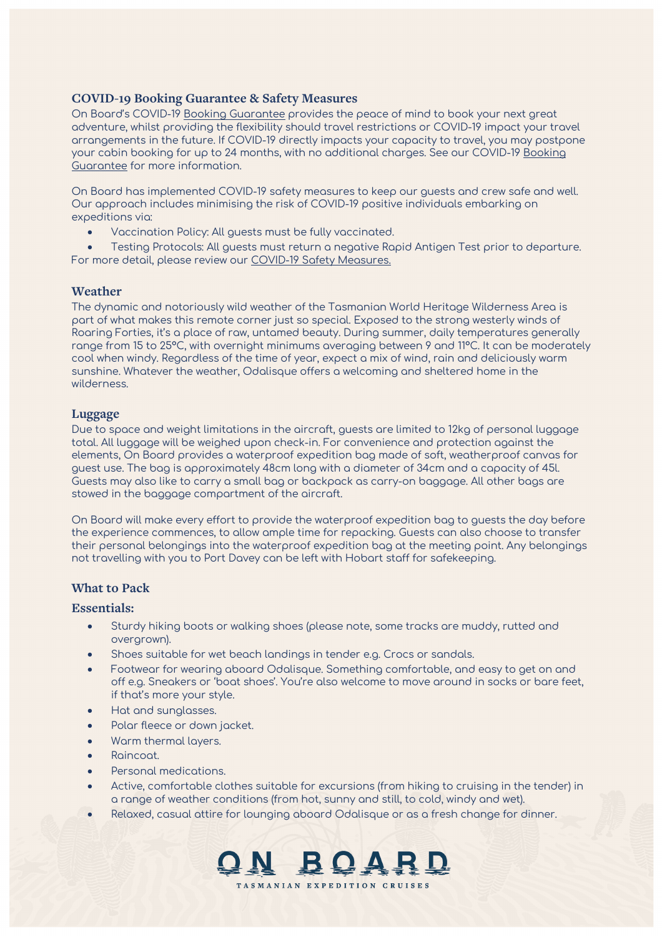# **COVID-19 Booking Guarantee & Safety Measures**

On Board's COVID-19 [Booking Guarantee](https://onboardexpeditions.com.au/terms-and-conditions/) provides the peace of mind to book your next great adventure, whilst providing the flexibility should travel restrictions or COVID-19 impact your travel arrangements in the future. If COVID-19 directly impacts your capacity to travel, you may postpone your cabin booking for up to 24 months, with no additional charges. See our COVID-19 [Booking](https://onboardexpeditions.com.au/terms-and-conditions/)  [Guarantee](https://onboardexpeditions.com.au/terms-and-conditions/) for more information.

On Board has implemented COVID-19 safety measures to keep our guests and crew safe and well. Our approach includes minimising the risk of COVID-19 positive individuals embarking on expeditions via:

• Vaccination Policy: All guests must be fully vaccinated.

• Testing Protocols: All guests must return a negative Rapid Antigen Test prior to departure. For more detail, please review our [COVID-19 Safety Measures.](https://onboardexpeditions.com.au/frequently-asked-questions/)

# **Weather**

The dynamic and notoriously wild weather of the Tasmanian World Heritage Wilderness Area is part of what makes this remote corner just so special. Exposed to the strong westerly winds of Roaring Forties, it's a place of raw, untamed beauty. During summer, daily temperatures generally range from 15 to 25°C, with overnight minimums averaging between 9 and 11°C. It can be moderately cool when windy. Regardless of the time of year, expect a mix of wind, rain and deliciously warm sunshine. Whatever the weather, Odalisque offers a welcoming and sheltered home in the wilderness.

## **Luggage**

Due to space and weight limitations in the aircraft, guests are limited to 12kg of personal luggage total. All luggage will be weighed upon check-in. For convenience and protection against the elements, On Board provides a waterproof expedition bag made of soft, weatherproof canvas for guest use. The bag is approximately 48cm long with a diameter of 34cm and a capacity of 45l. Guests may also like to carry a small bag or backpack as carry-on baggage. All other bags are stowed in the baggage compartment of the aircraft.

On Board will make every effort to provide the waterproof expedition bag to guests the day before the experience commences, to allow ample time for repacking. Guests can also choose to transfer their personal belongings into the waterproof expedition bag at the meeting point. Any belongings not travelling with you to Port Davey can be left with Hobart staff for safekeeping.

# **What to Pack**

# **Essentials:**

- Sturdy hiking boots or walking shoes (please note, some tracks are muddy, rutted and overgrown).
- Shoes suitable for wet beach landings in tender e.g. Crocs or sandals.
- Footwear for wearing aboard Odalisque. Something comfortable, and easy to get on and off e.g. Sneakers or 'boat shoes'. You're also welcome to move around in socks or bare feet, if that's more your style.
- Hat and sunglasses.
- Polar fleece or down jacket.
- Warm thermal layers.
- Raincoat.
- Personal medications.
- Active, comfortable clothes suitable for excursions (from hiking to cruising in the tender) in a range of weather conditions (from hot, sunny and still, to cold, windy and wet).
- Relaxed, casual attire for lounging aboard Odalisque or as a fresh change for dinner.